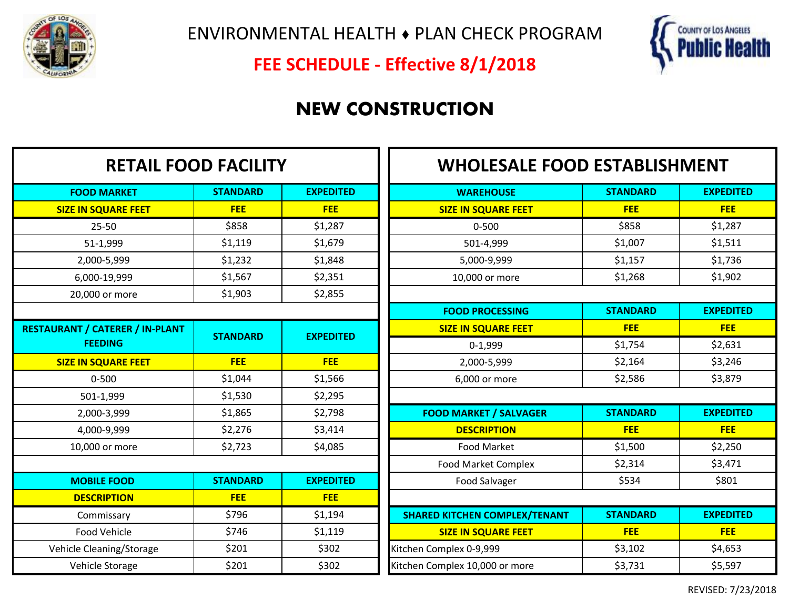

ENVIRONMENTAL HEALTH ♦ PLAN CHECK PROGRAM



**FEE SCHEDULE - Effective 8/1/2018**

# **NEW CONSTRUCTION**

7 F

| <b>RETAIL FOOD FACILITY</b>            |                 |                  | <b>WHOLESALE FOOD ESTABLISHMENT</b>  |                 |                  |
|----------------------------------------|-----------------|------------------|--------------------------------------|-----------------|------------------|
| <b>FOOD MARKET</b>                     | <b>STANDARD</b> | <b>EXPEDITED</b> | <b>WAREHOUSE</b>                     | <b>STANDARD</b> | <b>EXPEDITED</b> |
| <b>SIZE IN SQUARE FEET</b>             | <b>FEE</b>      | <b>FEE</b>       | <b>SIZE IN SQUARE FEET</b>           | <b>FEE</b>      | <b>FEE</b>       |
| $25 - 50$                              | \$858           | \$1,287          | $0 - 500$                            | \$858           | \$1,287          |
| 51-1,999                               | \$1,119         | \$1,679          | 501-4,999                            | \$1,007         | \$1,511          |
| 2,000-5,999                            | \$1,232         | \$1,848          | 5,000-9,999                          | \$1,157         | \$1,736          |
| 6,000-19,999                           | \$1,567         | \$2,351          | 10,000 or more                       | \$1,268         | \$1,902          |
| 20,000 or more                         | \$1,903         | \$2,855          |                                      |                 |                  |
|                                        |                 |                  | <b>FOOD PROCESSING</b>               | <b>STANDARD</b> | <b>EXPEDITED</b> |
| <b>RESTAURANT / CATERER / IN-PLANT</b> | <b>STANDARD</b> | <b>EXPEDITED</b> | <b>SIZE IN SQUARE FEET</b>           | <b>FEE</b>      | <b>FEE</b>       |
| <b>FEEDING</b>                         |                 |                  | $0-1,999$                            | \$1,754         | \$2,631          |
| <b>SIZE IN SQUARE FEET</b>             | <b>FEE</b>      | <b>FEE</b>       | 2,000-5,999                          | \$2,164         | \$3,246          |
| $0 - 500$                              | \$1,044         | \$1,566          | 6,000 or more                        | \$2,586         | \$3,879          |
| 501-1,999                              | \$1,530         | \$2,295          |                                      |                 |                  |
| 2,000-3,999                            | \$1,865         | \$2,798          | <b>FOOD MARKET / SALVAGER</b>        | <b>STANDARD</b> | <b>EXPEDITED</b> |
| 4,000-9,999                            | \$2,276         | \$3,414          | <b>DESCRIPTION</b>                   | <b>FEE</b>      | <b>FEE</b>       |
| 10,000 or more                         | \$2,723         | \$4,085          | <b>Food Market</b>                   | \$1,500         | \$2,250          |
|                                        |                 |                  | <b>Food Market Complex</b>           | \$2,314         | \$3,471          |
| <b>MOBILE FOOD</b>                     | <b>STANDARD</b> | <b>EXPEDITED</b> | Food Salvager                        | \$534           | \$801            |
| <b>DESCRIPTION</b>                     | <b>FEE</b>      | <b>FEE</b>       |                                      |                 |                  |
| Commissary                             | \$796           | \$1,194          | <b>SHARED KITCHEN COMPLEX/TENANT</b> | <b>STANDARD</b> | <b>EXPEDITED</b> |
| Food Vehicle                           | \$746           | \$1,119          | <b>SIZE IN SQUARE FEET</b>           | <b>FEE</b>      | <b>FEE</b>       |
| Vehicle Cleaning/Storage               | \$201           | \$302            | Kitchen Complex 0-9,999              | \$3,102         | \$4,653          |
| Vehicle Storage                        | \$201           | \$302            | Kitchen Complex 10,000 or more       | \$3,731         | \$5,597          |

REVISED: 7/23/2018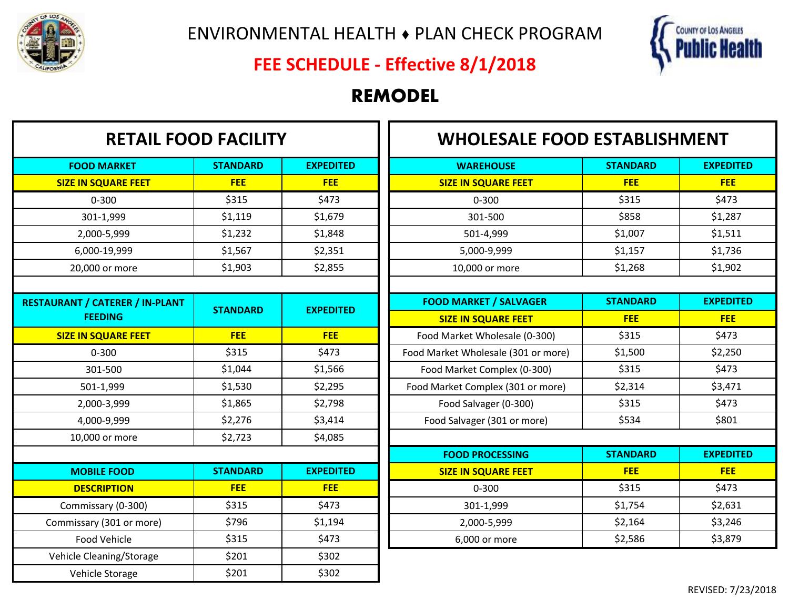



## **FEE SCHEDULE - Effective 8/1/2018**

### **REMODEL**

| <b>RETAIL FOOD FACILITY</b>            |                 |                  | <b>WHOLESALE FOOD ESTABLISHMENT</b> |                 |                  |
|----------------------------------------|-----------------|------------------|-------------------------------------|-----------------|------------------|
| <b>FOOD MARKET</b>                     | <b>STANDARD</b> | <b>EXPEDITED</b> | <b>WAREHOUSE</b>                    | <b>STANDARD</b> | <b>EXPEDITED</b> |
| <b>SIZE IN SQUARE FEET</b>             | <b>FEE</b>      | <b>FEE</b>       | <b>SIZE IN SQUARE FEET</b>          | <b>FEE</b>      | <b>FEE</b>       |
| $0 - 300$                              | \$315           | \$473            | $0 - 300$                           | \$315           | \$473            |
| 301-1,999                              | \$1,119         | \$1,679          | 301-500                             | \$858           | \$1,287          |
| 2,000-5,999                            | \$1,232         | \$1,848          | 501-4,999                           | \$1,007         | \$1,511          |
| 6,000-19,999                           | \$1,567         | \$2,351          | 5,000-9,999                         | \$1,157         | \$1,736          |
| 20,000 or more                         | \$1,903         | \$2,855          | 10,000 or more                      | \$1,268         | \$1,902          |
|                                        |                 |                  |                                     |                 |                  |
| <b>RESTAURANT / CATERER / IN-PLANT</b> | <b>STANDARD</b> | <b>EXPEDITED</b> | <b>FOOD MARKET / SALVAGER</b>       | <b>STANDARD</b> | <b>EXPEDITED</b> |
| <b>FEEDING</b>                         |                 |                  | <b>SIZE IN SQUARE FEET</b>          | <b>FEE</b>      | <b>FEE</b>       |
| <b>SIZE IN SQUARE FEET</b>             | <b>FEE</b>      | <b>FEE</b>       | Food Market Wholesale (0-300)       | \$315           | \$473            |
| $0 - 300$                              | \$315           | \$473            | Food Market Wholesale (301 or more) | \$1,500         | \$2,250          |
| 301-500                                | \$1,044         | \$1,566          | Food Market Complex (0-300)         | \$315           | \$473            |
| 501-1,999                              | \$1,530         | \$2,295          | Food Market Complex (301 or more)   | \$2,314         | \$3,471          |
| 2,000-3,999                            | \$1,865         | \$2,798          | Food Salvager (0-300)               | \$315           | \$473            |
| 4,000-9,999                            | \$2,276         | \$3,414          | Food Salvager (301 or more)         | \$534           | \$801            |
| 10,000 or more                         | \$2,723         | \$4,085          |                                     |                 |                  |
|                                        |                 |                  | <b>FOOD PROCESSING</b>              | <b>STANDARD</b> | <b>EXPEDITED</b> |
| <b>MOBILE FOOD</b>                     | <b>STANDARD</b> | <b>EXPEDITED</b> | <b>SIZE IN SQUARE FEET</b>          | <b>FEE</b>      | <b>FEE</b>       |
| <b>DESCRIPTION</b>                     | <b>FEE</b>      | <b>FEE</b>       | $0 - 300$                           | \$315           | \$473            |
| Commissary (0-300)                     | \$315           | \$473            | 301-1,999                           | \$1,754         | \$2,631          |
| Commissary (301 or more)               | \$796           | \$1,194          | 2,000-5,999                         | \$2,164         | \$3,246          |
| Food Vehicle                           | \$315           | \$473            | 6,000 or more                       | \$2,586         | \$3,879          |
| Vehicle Cleaning/Storage               | \$201           | \$302            |                                     |                 |                  |
| Vehicle Storage                        | \$201           | \$302            |                                     |                 |                  |